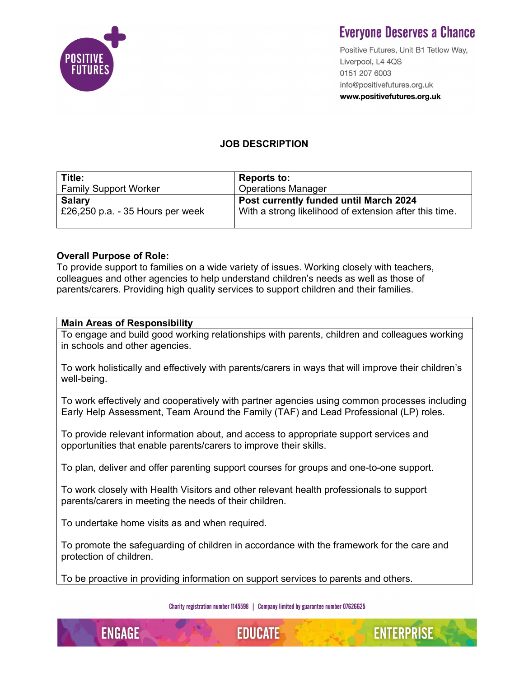

# **Evervone Deserves a Chance**

Positive Futures, Unit B1 Tetlow Way, Liverpool, L4 4QS 0151 207 6003 info@positivefutures.org.uk www.positivefutures.org.uk

## JOB DESCRIPTION

| Title:                            | <b>Reports to:</b>                                     |
|-----------------------------------|--------------------------------------------------------|
| <b>Family Support Worker</b>      | <b>Operations Manager</b>                              |
| <b>Salary</b>                     | Post currently funded until March 2024                 |
| £26,250 p.a. $-35$ Hours per week | With a strong likelihood of extension after this time. |

### Overall Purpose of Role:

To provide support to families on a wide variety of issues. Working closely with teachers, colleagues and other agencies to help understand children's needs as well as those of parents/carers. Providing high quality services to support children and their families.

#### Main Areas of Responsibility

To engage and build good working relationships with parents, children and colleagues working in schools and other agencies.

To work holistically and effectively with parents/carers in ways that will improve their children's well-being.

To work effectively and cooperatively with partner agencies using common processes including Early Help Assessment, Team Around the Family (TAF) and Lead Professional (LP) roles.

To provide relevant information about, and access to appropriate support services and opportunities that enable parents/carers to improve their skills.

To plan, deliver and offer parenting support courses for groups and one-to-one support.

To work closely with Health Visitors and other relevant health professionals to support parents/carers in meeting the needs of their children.

To undertake home visits as and when required.

**ENGAGE** 

To promote the safeguarding of children in accordance with the framework for the care and protection of children.

To be proactive in providing information on support services to parents and others.

Charity registration number 1145598 | Company limited by guarantee number 07626625



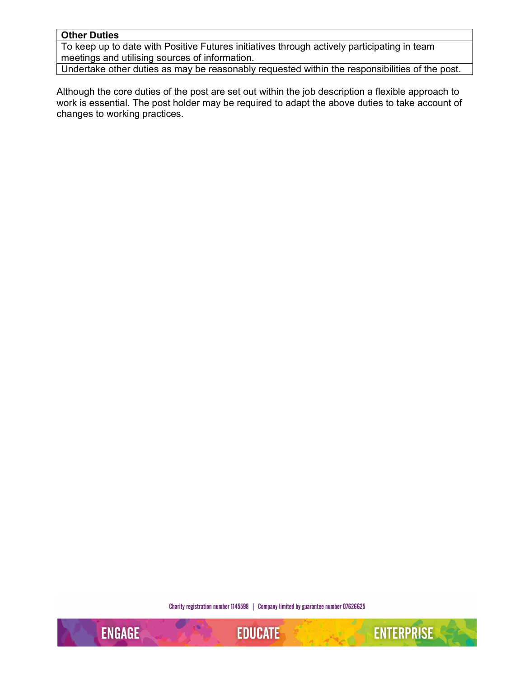#### Other Duties

To keep up to date with Positive Futures initiatives through actively participating in team meetings and utilising sources of information.

Undertake other duties as may be reasonably requested within the responsibilities of the post.

Although the core duties of the post are set out within the job description a flexible approach to work is essential. The post holder may be required to adapt the above duties to take account of changes to working practices.

Charity registration number 1145598 | Company limited by guarantee number 07626625

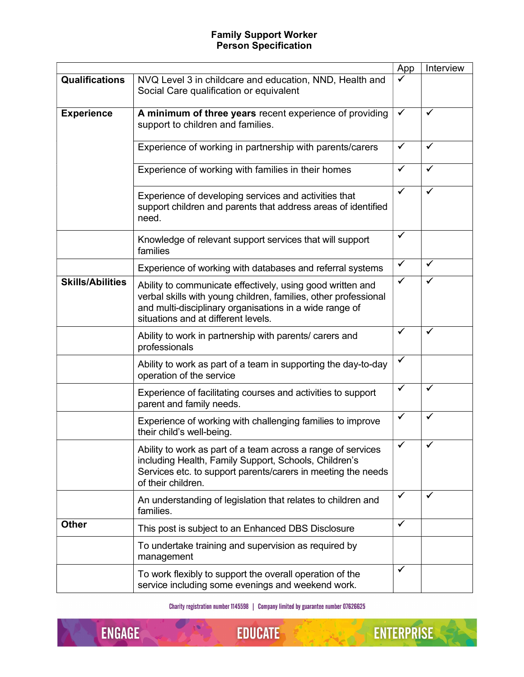#### Family Support Worker Person Specification

|                         |                                                                                                                                                                                                                                 | App          | Interview    |
|-------------------------|---------------------------------------------------------------------------------------------------------------------------------------------------------------------------------------------------------------------------------|--------------|--------------|
| <b>Qualifications</b>   | NVQ Level 3 in childcare and education, NND, Health and<br>Social Care qualification or equivalent                                                                                                                              |              |              |
| <b>Experience</b>       | A minimum of three years recent experience of providing<br>support to children and families.                                                                                                                                    | $\checkmark$ | ✓            |
|                         | Experience of working in partnership with parents/carers                                                                                                                                                                        | $\checkmark$ | ✔            |
|                         | Experience of working with families in their homes                                                                                                                                                                              | $\checkmark$ | ✔            |
|                         | Experience of developing services and activities that<br>support children and parents that address areas of identified<br>need.                                                                                                 | $\checkmark$ | ✓            |
|                         | Knowledge of relevant support services that will support<br>families                                                                                                                                                            | ✓            |              |
|                         | Experience of working with databases and referral systems                                                                                                                                                                       | $\checkmark$ | ✔            |
| <b>Skills/Abilities</b> | Ability to communicate effectively, using good written and<br>verbal skills with young children, families, other professional<br>and multi-disciplinary organisations in a wide range of<br>situations and at different levels. | $\checkmark$ | $\checkmark$ |
|                         | Ability to work in partnership with parents/ carers and<br>professionals                                                                                                                                                        | $\checkmark$ | ✓            |
|                         | Ability to work as part of a team in supporting the day-to-day<br>operation of the service                                                                                                                                      | $\checkmark$ |              |
|                         | Experience of facilitating courses and activities to support<br>parent and family needs.                                                                                                                                        | $\checkmark$ | ✓            |
|                         | Experience of working with challenging families to improve<br>their child's well-being.                                                                                                                                         | $\checkmark$ | ✔            |
|                         | Ability to work as part of a team across a range of services<br>including Health, Family Support, Schools, Children's<br>Services etc. to support parents/carers in meeting the needs<br>of their children.                     | ✓            |              |
|                         | An understanding of legislation that relates to children and<br>families.                                                                                                                                                       | $\checkmark$ | ✔            |
| <b>Other</b>            | This post is subject to an Enhanced DBS Disclosure                                                                                                                                                                              | $\checkmark$ |              |
|                         | To undertake training and supervision as required by<br>management                                                                                                                                                              |              |              |
|                         | To work flexibly to support the overall operation of the<br>service including some evenings and weekend work.                                                                                                                   | $\checkmark$ |              |

Charity registration number 1145598 | Company limited by guarantee number 07626625

 $\bigcup$  $\sqrt{2}$ ENGAGE

**EDUCATE**